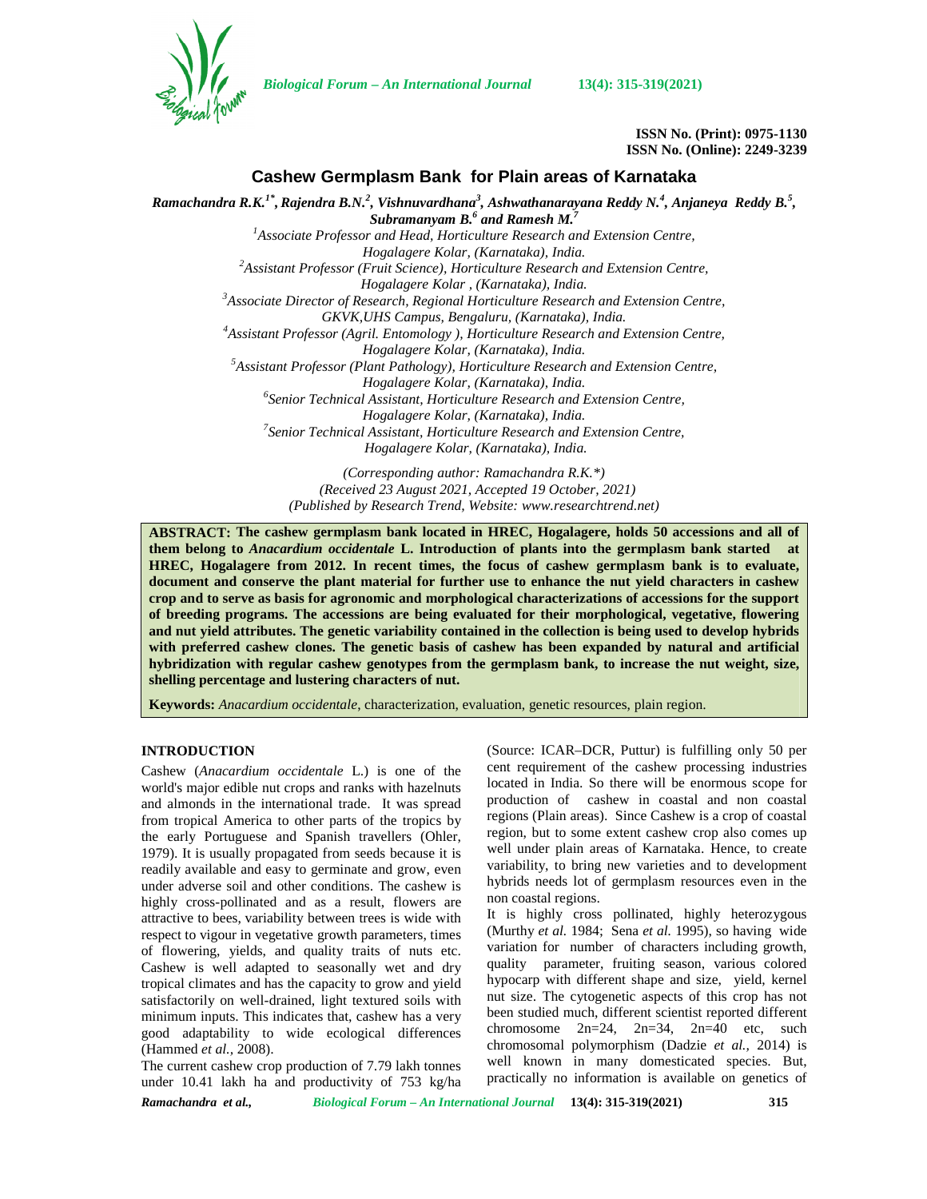

*Biological Forum – An International Journal* **13(4): 315-319(2021)**

**ISSN No. (Print): 0975-1130 ISSN No. (Online): 2249-3239**

# **Cashew Germplasm Bank for Plain areas of Karnataka**

*Ramachandra R.K.1\* ,Rajendra B.N.<sup>2</sup> , Vishnuvardhana<sup>3</sup> , Ashwathanarayana Reddy N.<sup>4</sup> , Anjaneya Reddy B.<sup>5</sup> , Subramanyam B.<sup>6</sup> and Ramesh M.<sup>7</sup> <sup>1</sup>Associate Professor and Head, Horticulture Research and Extension Centre, Hogalagere Kolar, (Karnataka), India. <sup>2</sup>Assistant Professor (Fruit Science), Horticulture Research and Extension Centre, Hogalagere Kolar , (Karnataka), India. <sup>3</sup>Associate Director of Research, Regional Horticulture Research and Extension Centre, GKVK,UHS Campus, Bengaluru, (Karnataka), India. <sup>4</sup>Assistant Professor (Agril. Entomology ), Horticulture Research and Extension Centre, Hogalagere Kolar, (Karnataka), India. <sup>5</sup>Assistant Professor (Plant Pathology), Horticulture Research and Extension Centre, Hogalagere Kolar, (Karnataka), India. <sup>6</sup>Senior Technical Assistant, Horticulture Research and Extension Centre, Hogalagere Kolar, (Karnataka), India. <sup>7</sup>Senior Technical Assistant, Horticulture Research and Extension Centre, Hogalagere Kolar, (Karnataka), India.*

*(Corresponding author: Ramachandra R.K.\*) (Received 23 August 2021, Accepted 19 October, 2021) (Published by Research Trend, Website: [www.researchtrend.net\)](www.researchtrend.net)*

**ABSTRACT: The cashew germplasm bank located in HREC, Hogalagere, holds 50 accessions and all of them belong to** *Anacardium occidentale* **L. Introduction of plants into the germplasm bank started at HREC, Hogalagere from 2012. In recent times, the focus of cashew germplasm bank is to evaluate, document and conserve the plant material for further use to enhance the nut yield characters in cashew crop and to serve as basis for agronomic and morphological characterizations of accessions for the support of breeding programs. The accessions are being evaluated for their morphological, vegetative, flowering and nut yield attributes. The genetic variability contained in the collection is being used to develop hybrids with preferred cashew clones. The genetic basis of cashew has been expanded by natural and artificial hybridization with regular cashew genotypes from the germplasm bank, to increase the nut weight, size, shelling percentage and lustering characters of nut.**

**Keywords:** *Anacardium occidentale*, characterization, evaluation, genetic resources, plain region.

#### **INTRODUCTION**

Cashew (*Anacardium occidentale* L.) is one of the world's major edible nut crops and ranks with hazelnuts and almonds in the international trade. It was spread from tropical America to other parts of the tropics by the early Portuguese and Spanish travellers (Ohler, 1979). It is usually propagated from seeds because it is readily available and easy to germinate and grow, even under adverse soil and other conditions. The cashew is highly cross-pollinated and as a result, flowers are attractive to bees, variability between trees is wide with respect to vigour in vegetative growth parameters, times of flowering, yields, and quality traits of nuts etc. Cashew is well adapted to seasonally wet and dry tropical climates and has the capacity to grow and yield satisfactorily on well-drained, light textured soils with minimum inputs. This indicates that, cashew has a very been studied m<br>cood edeptobility to wide equipment differences chromosome good adaptability to wide ecological differences (Hammed *et al.,* 2008).

The current cashew crop production of 7.79 lakh tonnes under 10.41 lakh ha and productivity of 753 kg/ha

(Source: ICAR–DCR, Puttur) is fulfilling only 50 per cent requirement of the cashew processing industries located in India. So there will be enormous scope for production of cashew in coastal and non coastal regions (Plain areas). Since Cashew is a crop of coastal region, but to some extent cashew crop also comes up well under plain areas of Karnataka. Hence, to create variability, to bring new varieties and to development hybrids needs lot of germplasm resources even in the non coastal regions.

It is highly cross pollinated, highly heterozygous (Murthy *et al.* 1984; Sena *et al.* 1995), so having wide variation for number of characters including growth, quality parameter, fruiting season, various colored hypocarp with different shape and size, yield, kernel nut size. The cytogenetic aspects of this crop has not been studied much, different scientist reported different  $2n=24$ ,  $2n=34$ ,  $2n=40$  etc, such chromosomal polymorphism (Dadzie *et al.,* 2014) is well known in many domesticated species. But, practically no information is available on genetics of

*Ramachandra et al., Biological Forum – An International Journal* **13(4): 315-319(2021) 315**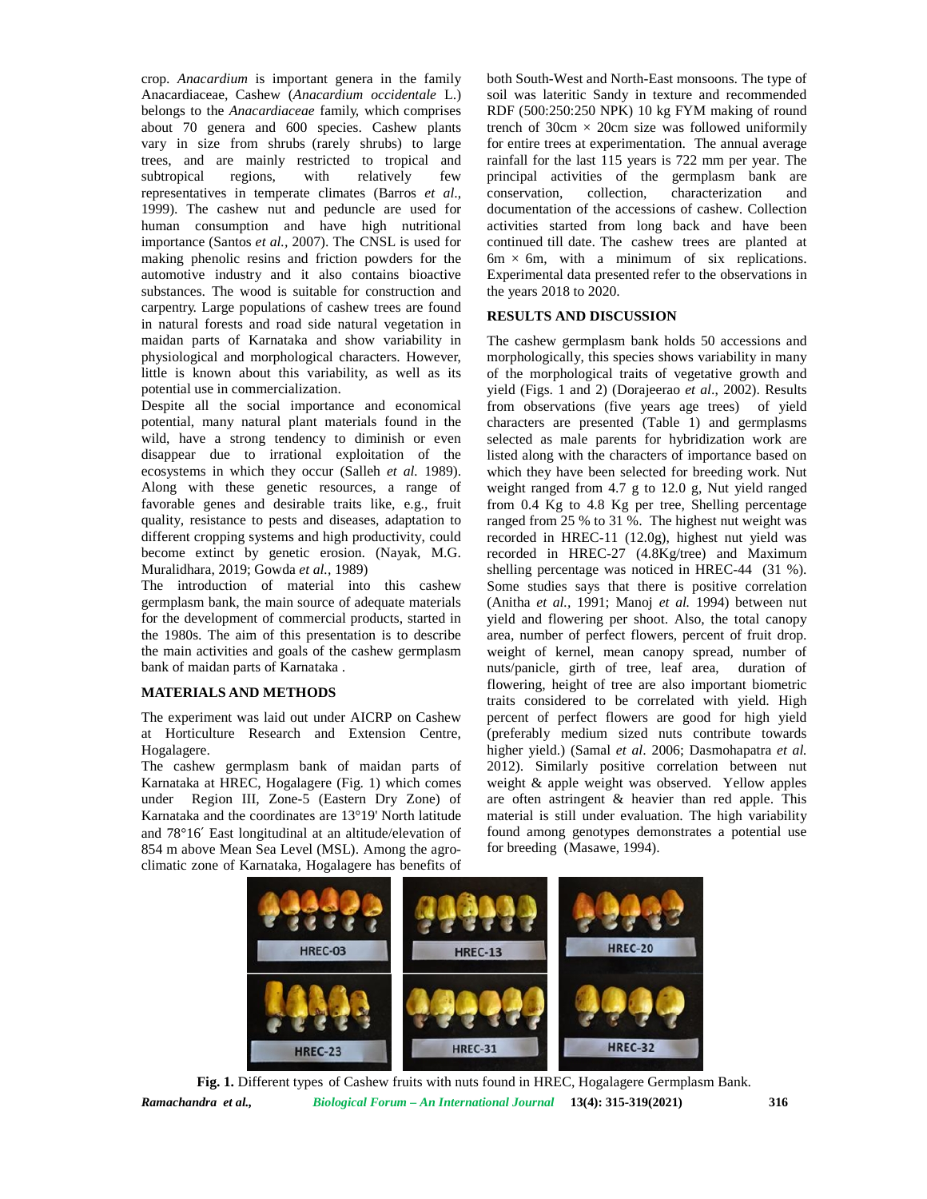crop. *Anacardium* is important genera in the family Anacardiaceae, Cashew (*Anacardium occidentale* L.) belongs to the *Anacardiaceae* family, which comprises about 70 genera and 600 species. Cashew plants vary in size from shrubs (rarely shrubs) to large trees, and are mainly restricted to tropical and subtropical regions, with relatively few principal activities of the germplasm bank are representatives in temperate climates (Barros *et al*., 1999). The cashew nut and peduncle are used for human consumption and have high nutritional importance (Santos *et al.,* 2007). The CNSL is used for making phenolic resins and friction powders for the automotive industry and it also contains bioactive substances. The wood is suitable for construction and carpentry. Large populations of cashew trees are found in natural forests and road side natural vegetation in maidan parts of Karnataka and show variability in physiological and morphological characters. However, little is known about this variability, as well as its potential use in commercialization.

Despite all the social importance and economical potential, many natural plant materials found in the wild, have a strong tendency to diminish or even disappear due to irrational exploitation of the ecosystems in which they occur (Salleh *et al.* 1989). Along with these genetic resources, a range of favorable genes and desirable traits like, e.g., fruit quality, resistance to pests and diseases, adaptation to different cropping systems and high productivity, could become extinct by genetic erosion. (Nayak, M.G. Muralidhara, 2019; Gowda *et al.,* 1989)

The introduction of material into this cashew germplasm bank, the main source of adequate materials for the development of commercial products, started in the 1980s. The aim of this presentation is to describe the main activities and goals of the cashew germplasm bank of maidan parts of Karnataka .

### **MATERIALS AND METHODS**

The experiment was laid out under AICRP on Cashew at Horticulture Research and Extension Centre, Hogalagere.

The cashew germplasm bank of maidan parts of Karnataka at HREC, Hogalagere (Fig. 1) which comes under Region III, Zone-5 (Eastern Dry Zone) of Karnataka and the coordinates are 13°19' North latitude and 78°16′ East longitudinal at an altitude/elevation of 854 m above Mean Sea Level (MSL). Among the agro climatic zone of Karnataka, Hogalagere has benefits of both South-West and North-East monsoons. The type of soil was lateritic Sandy in texture and recommended RDF (500:250:250 NPK) 10 kg FYM making of round trench of  $30 \text{cm} \times 20 \text{cm}$  size was followed uniformily for entire trees at experimentation. The annual average rainfall for the last 115 years is 722 mm per year. The collection, characterization and documentation of the accessions of cashew. Collection activities started from long back and have been continued till date. The cashew trees are planted at  $6m \times 6m$ , with a minimum of six replications. Experimental data presented refer to the observations in the years 2018 to 2020.

#### **RESULTS AND DISCUSSION**

The cashew germplasm bank holds 50 accessions and morphologically, this species shows variability in many of the morphological traits of vegetative growth and yield (Figs. 1 and 2) (Dorajeerao *et al*., 2002). Results from observations (five years age trees) of yield characters are presented (Table 1) and germplasms selected as male parents for hybridization work are listed along with the characters of importance based on which they have been selected for breeding work. Nut weight ranged from 4.7 g to 12.0 g, Nut yield ranged from 0.4 Kg to 4.8 Kg per tree, Shelling percentage ranged from 25 % to 31 %. The highest nut weight was recorded in HREC-11 (12.0g), highest nut yield was recorded in HREC-27 (4.8Kg/tree) and Maximum shelling percentage was noticed in HREC-44 (31 %). Some studies says that there is positive correlation (Anitha *et al.,* 1991; Manoj *et al.* 1994) between nut yield and flowering per shoot. Also, the total canopy area, number of perfect flowers, percent of fruit drop. weight of kernel, mean canopy spread, number of nuts/panicle, girth of tree, leaf area, duration of flowering, height of tree are also important biometric traits considered to be correlated with yield. High percent of perfect flowers are good for high yield (preferably medium sized nuts contribute towards higher yield.) (Samal *et al*. 2006; Dasmohapatra *et al.* 2012). Similarly positive correlation between nut weight & apple weight was observed. Yellow apples are often astringent & heavier than red apple. This material is still under evaluation. The high variability found among genotypes demonstrates a potential use for breeding (Masawe, 1994).



*Ramachandra et al., Biological Forum – An International Journal* **13(4): 315-319(2021) 316 Fig. 1.** Different types of Cashew fruits with nuts found in HREC, Hogalagere Germplasm Bank.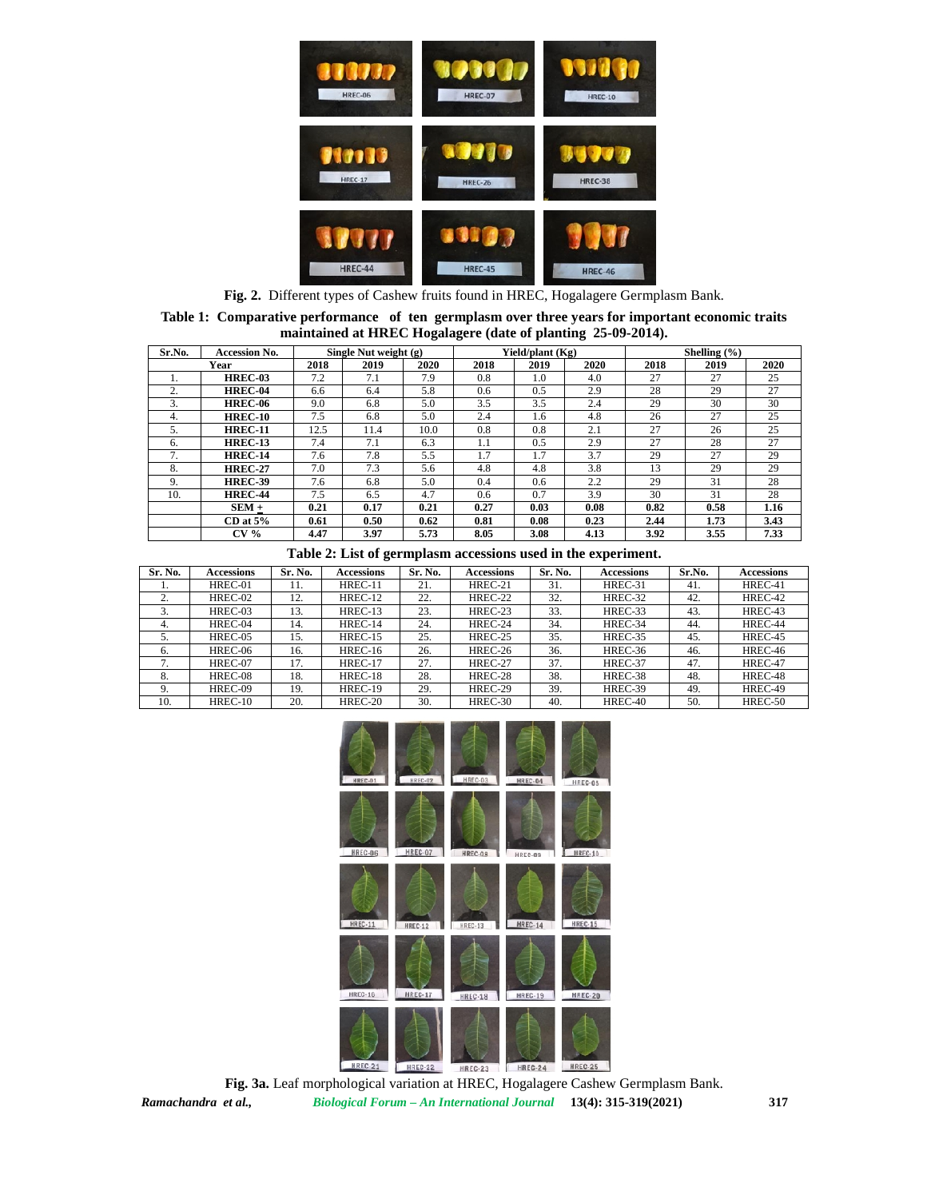

**Fig. 2.** Different types of Cashew fruits found in HREC, Hogalagere Germplasm Bank.

|                                                              |  |  | Table 1: Comparative performance of ten germplasm over three years for important economic traits |  |  |  |  |  |
|--------------------------------------------------------------|--|--|--------------------------------------------------------------------------------------------------|--|--|--|--|--|
| maintained at HREC Hogalagere (date of planting 25-09-2014). |  |  |                                                                                                  |  |  |  |  |  |

| Sr.No. | <b>Accession No.</b> | Single Nut weight $(g)$ |      |      |      | Yield/plant (Kg) |      | Shelling $(\% )$ |      |      |
|--------|----------------------|-------------------------|------|------|------|------------------|------|------------------|------|------|
| Year   |                      | 2018                    | 2019 | 2020 | 2018 | 2019             | 2020 | 2018             | 2019 | 2020 |
|        | <b>HREC-03</b>       | 7.2                     | 7.1  | 7.9  | 0.8  | 1.0              | 4.0  | 27               | 27   | 25   |
|        | <b>HREC-04</b>       | 6.6                     | 6.4  | 5.8  | 0.6  | 0.5              | 2.9  | 28               | 29   | 27   |
|        | <b>HREC-06</b>       | 9.0                     | 6.8  | 5.0  | 3.5  | 3.5              | 2.4  | 29               | 30   | 30   |
| 4.     | <b>HREC-10</b>       | 7.5                     | 6.8  | 5.0  | 2.4  | 1.6              | 4.8  | 26               | 27   | 25   |
|        | <b>HREC-11</b>       | 12.5                    | 11.4 | 10.0 | 0.8  | 0.8              | 2.1  | 27               | 26   | 25   |
| h.     | <b>HREC-13</b>       | 7.4                     | 7.1  | 6.3  | 1.1  | 0.5              | 2.9  | 27               | 28   | 27   |
|        | <b>HREC-14</b>       | 7.6                     | 7.8  | 5.5  |      | 1.7              | 3.7  | 29               | 27   | 29   |
| 8.     | <b>HREC-27</b>       | 7.0                     | 7.3  | 5.6  | 4.8  | 4.8              | 3.8  | 13               | 29   | 29   |
| 9.     | <b>HREC-39</b>       | 7.6                     | 6.8  | 5.0  | 0.4  | 0.6              | 2.2  | 29               | 31   | 28   |
| 10.    | <b>HREC-44</b>       | 7.5                     | 6.5  | 4.7  | 0.6  | 0.7              | 3.9  | 30               | 31   | 28   |
|        | $SEM +$              | 0.21                    | 0.17 | 0.21 | 0.27 | 0.03             | 0.08 | 0.82             | 0.58 | 1.16 |
|        | $CD$ at $5\%$        | 0.61                    | 0.50 | 0.62 | 0.81 | 0.08             | 0.23 | 2.44             | 1.73 | 3.43 |
|        | CV <sub>0</sub>      | 4.47                    | 3.97 | 5.73 | 8.05 | 3.08             | 4.13 | 3.92             | 3.55 | 7.33 |

|  | Table 2: List of germplasm accessions used in the experiment. |
|--|---------------------------------------------------------------|
|--|---------------------------------------------------------------|

| Sr. No. | <b>Accessions</b> | Sr. No. | <b>Accessions</b> | Sr. No. | <b>Accessions</b> | Sr. No. | <b>Accessions</b> | Sr.No. | <b>Accessions</b> |
|---------|-------------------|---------|-------------------|---------|-------------------|---------|-------------------|--------|-------------------|
|         | HREC-01           | 11.     | HREC-11           | 21.     | HREC-21           | 31.     | HREC-31           | 41.    | HREC-41           |
|         | HREC-02           | 12.     | HREC-12           | 22.     | HREC-22           | 32.     | HREC-32           | 42.    | HREC-42           |
|         | HREC-03           | 13.     | HREC-13           | 23.     | HREC-23           | 33.     | HREC-33           | 43.    | HREC-43           |
| 4.      | HREC-04           | 14.     | HREC-14           | 24.     | HREC-24           | 34.     | HREC-34           | 44.    | HREC-44           |
| 5.      | HREC-05           | 15.     | HREC-15           | 25.     | HREC-25           | 35.     | HREC-35           | 45.    | HREC-45           |
| 6.      | HREC-06           | 16.     | $HREC-16$         | 26.     | HREC-26           | 36.     | HREC-36           | 46.    | HREC-46           |
|         | HREC-07           | 17.     | HREC-17           | 27.     | HREC-27           | 37.     | HREC-37           | 47.    | HREC-47           |
| 8.      | HREC-08           | 18.     | HREC-18           | 28.     | HREC-28           | 38.     | HREC-38           | 48.    | HREC-48           |
|         | HREC-09           | 19.     | HREC-19           | 29.     | HREC-29           | 39.     | HREC-39           | 49.    | HREC-49           |
| 10.     | $HREC-10$         | 20.     | HREC-20           | 30.     | HREC-30           | 40.     | HREC-40           | 50.    | HREC-50           |



*Ramachandra et al., Biological Forum – An International Journal* **13(4): 315-319(2021) 317 Fig. 3a.** Leaf morphological variation at HREC, Hogalagere Cashew Germplasm Bank.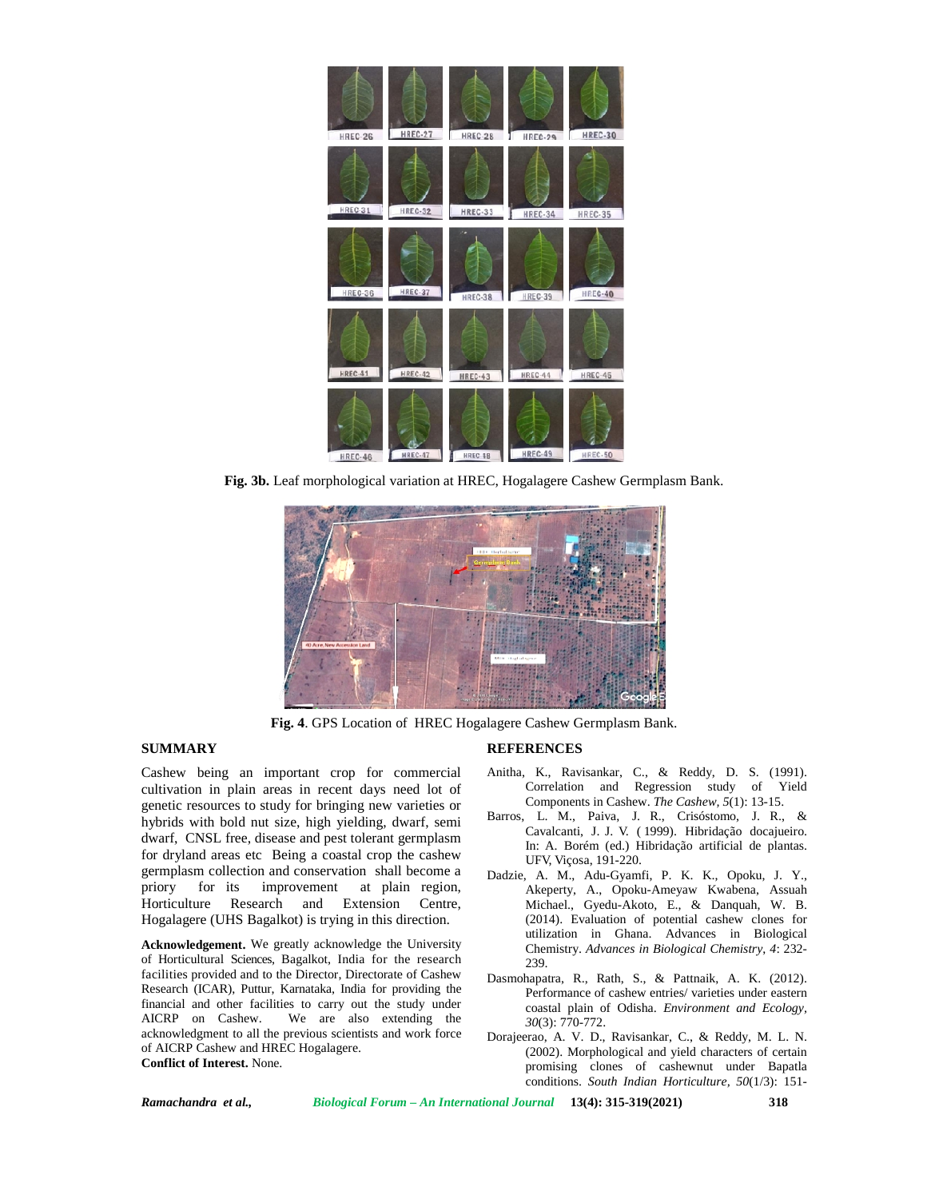

**Fig. 3b.** Leaf morphological variation at HREC, Hogalagere Cashew Germplasm Bank.



**Fig. 4**. GPS Location of HREC Hogalagere Cashew Germplasm Bank.

## **SUMMARY**

Cashew being an important crop for commercial cultivation in plain areas in recent days need lot of genetic resources to study for bringing new varieties or hybrids with bold nut size, high yielding, dwarf, semi dwarf, CNSL free, disease and pest tolerant germplasm for dryland areas etc Being a coastal crop the cashew germplasm collection and conservation shall become a priory for its improvement at plain region, Horticulture Research and Extension Centre, Hogalagere (UHS Bagalkot) is trying in this direction.

**Acknowledgement.** We greatly acknowledge the University of Horticultural Sciences, Bagalkot, India for the research facilities provided and to the Director, Directorate of Cashew Research (ICAR), Puttur, Karnataka, India for providing the financial and other facilities to carry out the study under AICRP on Cashew. We are also extending the acknowledgment to all the previous scientists and work force of AICRP Cashew and HREC Hogalagere. **Conflict of Interest.** None.

## **REFERENCES**

- Anitha, K., Ravisankar, C., & Reddy, D. S. (1991). Correlation and Regression study of Yield Components in Cashew. *The Cashew, 5*(1): 13-15.
- Barros, L. M., Paiva, J. R., Crisóstomo, J. R., & Cavalcanti, J. J. V. ( 1999). Hibridação docajueiro. In: A. Borém (ed.) Hibridação artificial de plantas. UFV, Viçosa, 191-220.
- Dadzie, A. M., Adu-Gyamfi, P. K. K., Opoku, J. Y., Akeperty, A., Opoku-Ameyaw Kwabena, Assuah Michael., Gyedu-Akoto, E., & Danquah, W. B. (2014). Evaluation of potential cashew clones for utilization in Ghana. Advances in Biological Chemistry. *Advances in Biological Chemistry*, *4*: 232- 239.
- Dasmohapatra, R., Rath, S., & Pattnaik, A. K. (2012). Performance of cashew entries/ varieties under eastern coastal plain of Odisha. *Environment and Ecology, 30*(3): 770-772.
- Dorajeerao, A. V. D., Ravisankar, C., & Reddy, M. L. N. (2002). Morphological and yield characters of certain promising clones of cashewnut under Bapatla conditions. *South Indian Horticulture, 50*(1/3): 151-